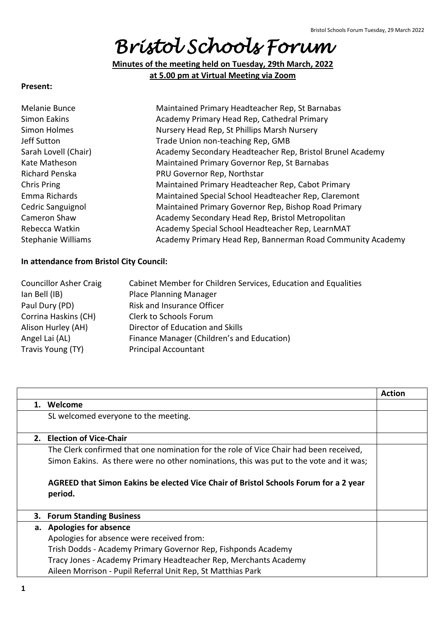# *Bristol Schools Forum*

**Minutes of the meeting held on Tuesday, 29th March, 2022 at 5.00 pm at Virtual Meeting via Zoom**

#### **Present:**

| Melanie Bunce        | Maintained Primary Headteacher Rep, St Barnabas            |
|----------------------|------------------------------------------------------------|
| Simon Eakins         | Academy Primary Head Rep, Cathedral Primary                |
| Simon Holmes         | Nursery Head Rep, St Phillips Marsh Nursery                |
| Jeff Sutton          | Trade Union non-teaching Rep, GMB                          |
| Sarah Lovell (Chair) | Academy Secondary Headteacher Rep, Bristol Brunel Academy  |
| Kate Matheson        | Maintained Primary Governor Rep, St Barnabas               |
| Richard Penska       | PRU Governor Rep, Northstar                                |
| Chris Pring          | Maintained Primary Headteacher Rep, Cabot Primary          |
| Emma Richards        | Maintained Special School Headteacher Rep, Claremont       |
| Cedric Sanguignol    | Maintained Primary Governor Rep, Bishop Road Primary       |
| Cameron Shaw         | Academy Secondary Head Rep, Bristol Metropolitan           |
| Rebecca Watkin       | Academy Special School Headteacher Rep, LearnMAT           |
| Stephanie Williams   | Academy Primary Head Rep, Bannerman Road Community Academy |
|                      |                                                            |

#### **In attendance from Bristol City Council:**

| <b>Councillor Asher Craig</b> | Cabinet Member for Children Services, Education and Equalities |
|-------------------------------|----------------------------------------------------------------|
| lan Bell (IB)                 | <b>Place Planning Manager</b>                                  |
| Paul Dury (PD)                | <b>Risk and Insurance Officer</b>                              |
| Corrina Haskins (CH)          | Clerk to Schools Forum                                         |
| Alison Hurley (AH)            | Director of Education and Skills                               |
| Angel Lai (AL)                | Finance Manager (Children's and Education)                     |
| Travis Young (TY)             | <b>Principal Accountant</b>                                    |
|                               |                                                                |

|    |                                                                                                 | <b>Action</b> |
|----|-------------------------------------------------------------------------------------------------|---------------|
| 1. | Welcome                                                                                         |               |
|    | SL welcomed everyone to the meeting.                                                            |               |
|    |                                                                                                 |               |
|    | 2. Election of Vice-Chair                                                                       |               |
|    | The Clerk confirmed that one nomination for the role of Vice Chair had been received,           |               |
|    | Simon Eakins. As there were no other nominations, this was put to the vote and it was;          |               |
|    | AGREED that Simon Eakins be elected Vice Chair of Bristol Schools Forum for a 2 year<br>period. |               |
| 3. | <b>Forum Standing Business</b>                                                                  |               |
|    | a. Apologies for absence                                                                        |               |
|    | Apologies for absence were received from:                                                       |               |
|    | Trish Dodds - Academy Primary Governor Rep, Fishponds Academy                                   |               |
|    | Tracy Jones - Academy Primary Headteacher Rep, Merchants Academy                                |               |
|    | Aileen Morrison - Pupil Referral Unit Rep, St Matthias Park                                     |               |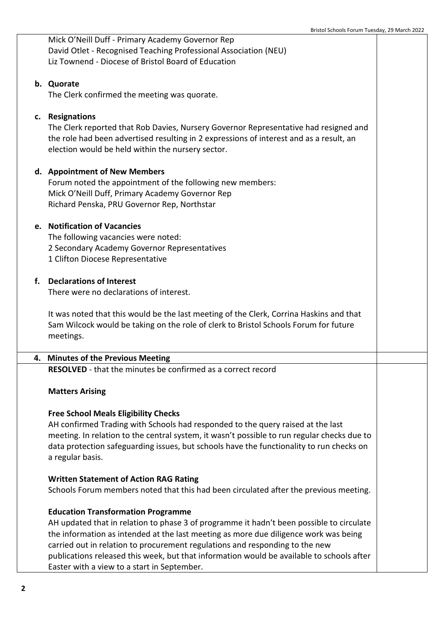Mick O'Neill Duff - Primary Academy Governor Rep David Otlet - Recognised Teaching Professional Association (NEU) Liz Townend - Diocese of Bristol Board of Education

## **b. Quorate**

The Clerk confirmed the meeting was quorate.

# **c. Resignations**

The Clerk reported that Rob Davies, Nursery Governor Representative had resigned and the role had been advertised resulting in 2 expressions of interest and as a result, an election would be held within the nursery sector.

# **d. Appointment of New Members**

Forum noted the appointment of the following new members: Mick O'Neill Duff, Primary Academy Governor Rep Richard Penska, PRU Governor Rep, Northstar

## **e. Notification of Vacancies**

The following vacancies were noted: 2 Secondary Academy Governor Representatives 1 Clifton Diocese Representative

## **f. Declarations of Interest**

There were no declarations of interest.

It was noted that this would be the last meeting of the Clerk, Corrina Haskins and that Sam Wilcock would be taking on the role of clerk to Bristol Schools Forum for future meetings.

#### **4. Minutes of the Previous Meeting**

**RESOLVED** - that the minutes be confirmed as a correct record

#### **Matters Arising**

# **Free School Meals Eligibility Checks**

AH confirmed Trading with Schools had responded to the query raised at the last meeting. In relation to the central system, it wasn't possible to run regular checks due to data protection safeguarding issues, but schools have the functionality to run checks on a regular basis.

#### **Written Statement of Action RAG Rating**

Schools Forum members noted that this had been circulated after the previous meeting.

# **Education Transformation Programme**

AH updated that in relation to phase 3 of programme it hadn't been possible to circulate the information as intended at the last meeting as more due diligence work was being carried out in relation to procurement regulations and responding to the new publications released this week, but that information would be available to schools after Easter with a view to a start in September.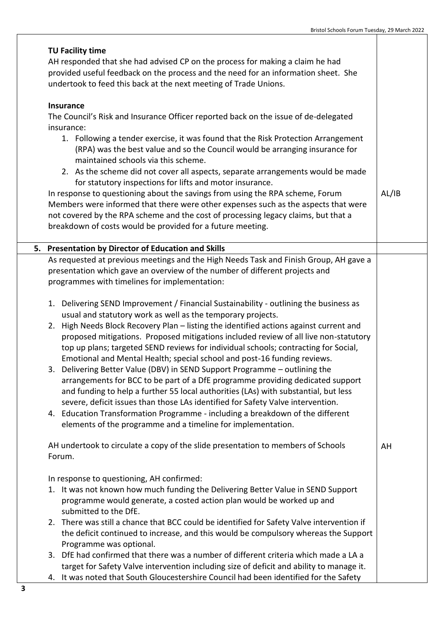|    | TU Facility time                                                                                                                                                    |       |  |
|----|---------------------------------------------------------------------------------------------------------------------------------------------------------------------|-------|--|
|    | AH responded that she had advised CP on the process for making a claim he had<br>provided useful feedback on the process and the need for an information sheet. She |       |  |
|    |                                                                                                                                                                     |       |  |
|    |                                                                                                                                                                     |       |  |
|    | undertook to feed this back at the next meeting of Trade Unions.                                                                                                    |       |  |
|    | <b>Insurance</b>                                                                                                                                                    |       |  |
|    | The Council's Risk and Insurance Officer reported back on the issue of de-delegated                                                                                 |       |  |
|    | insurance:                                                                                                                                                          |       |  |
|    | 1. Following a tender exercise, it was found that the Risk Protection Arrangement                                                                                   |       |  |
|    | (RPA) was the best value and so the Council would be arranging insurance for                                                                                        |       |  |
|    | maintained schools via this scheme.                                                                                                                                 |       |  |
|    | 2. As the scheme did not cover all aspects, separate arrangements would be made                                                                                     |       |  |
|    | for statutory inspections for lifts and motor insurance.                                                                                                            |       |  |
|    | In response to questioning about the savings from using the RPA scheme, Forum                                                                                       | AL/IB |  |
|    | Members were informed that there were other expenses such as the aspects that were                                                                                  |       |  |
|    | not covered by the RPA scheme and the cost of processing legacy claims, but that a                                                                                  |       |  |
|    | breakdown of costs would be provided for a future meeting.                                                                                                          |       |  |
|    |                                                                                                                                                                     |       |  |
| 5. | <b>Presentation by Director of Education and Skills</b><br>As requested at previous meetings and the High Needs Task and Finish Group, AH gave a                    |       |  |
|    |                                                                                                                                                                     |       |  |
|    | presentation which gave an overview of the number of different projects and<br>programmes with timelines for implementation:                                        |       |  |
|    |                                                                                                                                                                     |       |  |
|    | 1. Delivering SEND Improvement / Financial Sustainability - outlining the business as                                                                               |       |  |
|    | usual and statutory work as well as the temporary projects.                                                                                                         |       |  |
|    | 2. High Needs Block Recovery Plan - listing the identified actions against current and                                                                              |       |  |
|    | proposed mitigations. Proposed mitigations included review of all live non-statutory                                                                                |       |  |
|    | top up plans; targeted SEND reviews for individual schools; contracting for Social,                                                                                 |       |  |
|    | Emotional and Mental Health; special school and post-16 funding reviews.                                                                                            |       |  |
|    | 3. Delivering Better Value (DBV) in SEND Support Programme - outlining the                                                                                          |       |  |
|    | arrangements for BCC to be part of a DfE programme providing dedicated support                                                                                      |       |  |
|    | and funding to help a further 55 local authorities (LAs) with substantial, but less                                                                                 |       |  |
|    | severe, deficit issues than those LAs identified for Safety Valve intervention.                                                                                     |       |  |
|    | 4. Education Transformation Programme - including a breakdown of the different                                                                                      |       |  |
|    | elements of the programme and a timeline for implementation.                                                                                                        |       |  |
|    | AH undertook to circulate a copy of the slide presentation to members of Schools                                                                                    | AH    |  |
|    | Forum.                                                                                                                                                              |       |  |
|    |                                                                                                                                                                     |       |  |
|    | In response to questioning, AH confirmed:                                                                                                                           |       |  |
|    | 1. It was not known how much funding the Delivering Better Value in SEND Support                                                                                    |       |  |
|    | programme would generate, a costed action plan would be worked up and                                                                                               |       |  |
|    | submitted to the DfE.                                                                                                                                               |       |  |
|    | 2. There was still a chance that BCC could be identified for Safety Valve intervention if                                                                           |       |  |
|    | the deficit continued to increase, and this would be compulsory whereas the Support                                                                                 |       |  |
|    | Programme was optional.                                                                                                                                             |       |  |
|    | 3. DfE had confirmed that there was a number of different criteria which made a LA a                                                                                |       |  |
|    | target for Safety Valve intervention including size of deficit and ability to manage it.                                                                            |       |  |
|    | 4. It was noted that South Gloucestershire Council had been identified for the Safety                                                                               |       |  |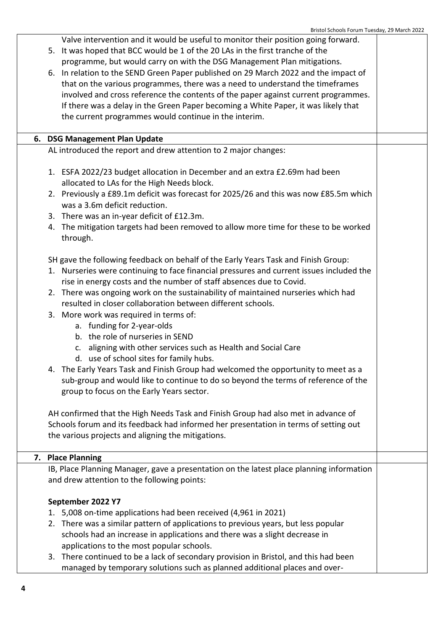| Bristoi Schools Forum Tuesday, 29 March 2022                                                     |  |  |
|--------------------------------------------------------------------------------------------------|--|--|
| Valve intervention and it would be useful to monitor their position going forward.               |  |  |
| 5. It was hoped that BCC would be 1 of the 20 LAs in the first tranche of the                    |  |  |
| programme, but would carry on with the DSG Management Plan mitigations.                          |  |  |
| 6. In relation to the SEND Green Paper published on 29 March 2022 and the impact of              |  |  |
| that on the various programmes, there was a need to understand the timeframes                    |  |  |
| involved and cross reference the contents of the paper against current programmes.               |  |  |
| If there was a delay in the Green Paper becoming a White Paper, it was likely that               |  |  |
| the current programmes would continue in the interim.                                            |  |  |
|                                                                                                  |  |  |
|                                                                                                  |  |  |
| 6. DSG Management Plan Update<br>AL introduced the report and drew attention to 2 major changes: |  |  |
|                                                                                                  |  |  |
|                                                                                                  |  |  |
| 1. ESFA 2022/23 budget allocation in December and an extra £2.69m had been                       |  |  |
| allocated to LAs for the High Needs block.                                                       |  |  |
| 2. Previously a £89.1m deficit was forecast for 2025/26 and this was now £85.5m which            |  |  |
| was a 3.6m deficit reduction.                                                                    |  |  |
| 3. There was an in-year deficit of £12.3m.                                                       |  |  |
| 4. The mitigation targets had been removed to allow more time for these to be worked             |  |  |
| through.                                                                                         |  |  |
|                                                                                                  |  |  |
| SH gave the following feedback on behalf of the Early Years Task and Finish Group:               |  |  |
| 1. Nurseries were continuing to face financial pressures and current issues included the         |  |  |
| rise in energy costs and the number of staff absences due to Covid.                              |  |  |
| There was ongoing work on the sustainability of maintained nurseries which had<br>2.             |  |  |
| resulted in closer collaboration between different schools.                                      |  |  |
| 3. More work was required in terms of:                                                           |  |  |
| a. funding for 2-year-olds                                                                       |  |  |
| b. the role of nurseries in SEND                                                                 |  |  |
| c. aligning with other services such as Health and Social Care                                   |  |  |
| d. use of school sites for family hubs.                                                          |  |  |
| 4. The Early Years Task and Finish Group had welcomed the opportunity to meet as a               |  |  |
| sub-group and would like to continue to do so beyond the terms of reference of the               |  |  |
| group to focus on the Early Years sector.                                                        |  |  |
|                                                                                                  |  |  |
| AH confirmed that the High Needs Task and Finish Group had also met in advance of                |  |  |
| Schools forum and its feedback had informed her presentation in terms of setting out             |  |  |
| the various projects and aligning the mitigations.                                               |  |  |
|                                                                                                  |  |  |
| 7. Place Planning                                                                                |  |  |
| IB, Place Planning Manager, gave a presentation on the latest place planning information         |  |  |
|                                                                                                  |  |  |
| and drew attention to the following points:                                                      |  |  |
|                                                                                                  |  |  |
| September 2022 Y7                                                                                |  |  |
| 5,008 on-time applications had been received (4,961 in 2021)<br>1.                               |  |  |
| There was a similar pattern of applications to previous years, but less popular<br>2.            |  |  |
| schools had an increase in applications and there was a slight decrease in                       |  |  |
| applications to the most popular schools.                                                        |  |  |

3. There continued to be a lack of secondary provision in Bristol, and this had been managed by temporary solutions such as planned additional places and over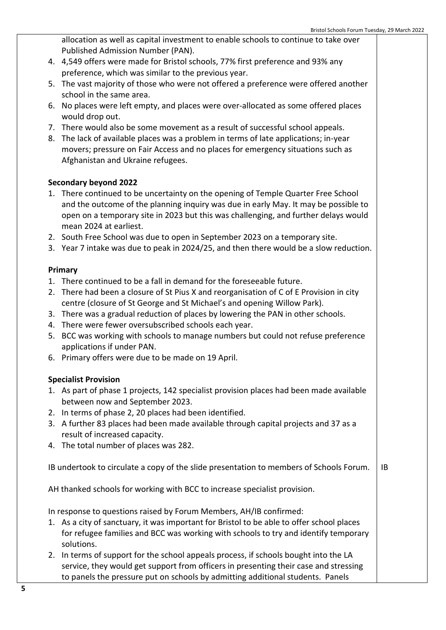allocation as well as capital investment to enable schools to continue to take over Published Admission Number (PAN).

- 4. 4,549 offers were made for Bristol schools, 77% first preference and 93% any preference, which was similar to the previous year.
- 5. The vast majority of those who were not offered a preference were offered another school in the same area.
- 6. No places were left empty, and places were over-allocated as some offered places would drop out.
- 7. There would also be some movement as a result of successful school appeals.
- 8. The lack of available places was a problem in terms of late applications; in-year movers; pressure on Fair Access and no places for emergency situations such as Afghanistan and Ukraine refugees.

# **Secondary beyond 2022**

- 1. There continued to be uncertainty on the opening of Temple Quarter Free School and the outcome of the planning inquiry was due in early May. It may be possible to open on a temporary site in 2023 but this was challenging, and further delays would mean 2024 at earliest.
- 2. South Free School was due to open in September 2023 on a temporary site.
- 3. Year 7 intake was due to peak in 2024/25, and then there would be a slow reduction.

# **Primary**

- 1. There continued to be a fall in demand for the foreseeable future.
- 2. There had been a closure of St Pius X and reorganisation of C of E Provision in city centre (closure of St George and St Michael's and opening Willow Park).
- 3. There was a gradual reduction of places by lowering the PAN in other schools.
- 4. There were fewer oversubscribed schools each year.
- 5. BCC was working with schools to manage numbers but could not refuse preference applications if under PAN.
- 6. Primary offers were due to be made on 19 April.

# **Specialist Provision**

- 1. As part of phase 1 projects, 142 specialist provision places had been made available between now and September 2023.
- 2. In terms of phase 2, 20 places had been identified.
- 3. A further 83 places had been made available through capital projects and 37 as a result of increased capacity.
- 4. The total number of places was 282.

IB undertook to circulate a copy of the slide presentation to members of Schools Forum. IB

AH thanked schools for working with BCC to increase specialist provision.

In response to questions raised by Forum Members, AH/IB confirmed:

- 1. As a city of sanctuary, it was important for Bristol to be able to offer school places for refugee families and BCC was working with schools to try and identify temporary solutions.
- 2. In terms of support for the school appeals process, if schools bought into the LA service, they would get support from officers in presenting their case and stressing to panels the pressure put on schools by admitting additional students. Panels